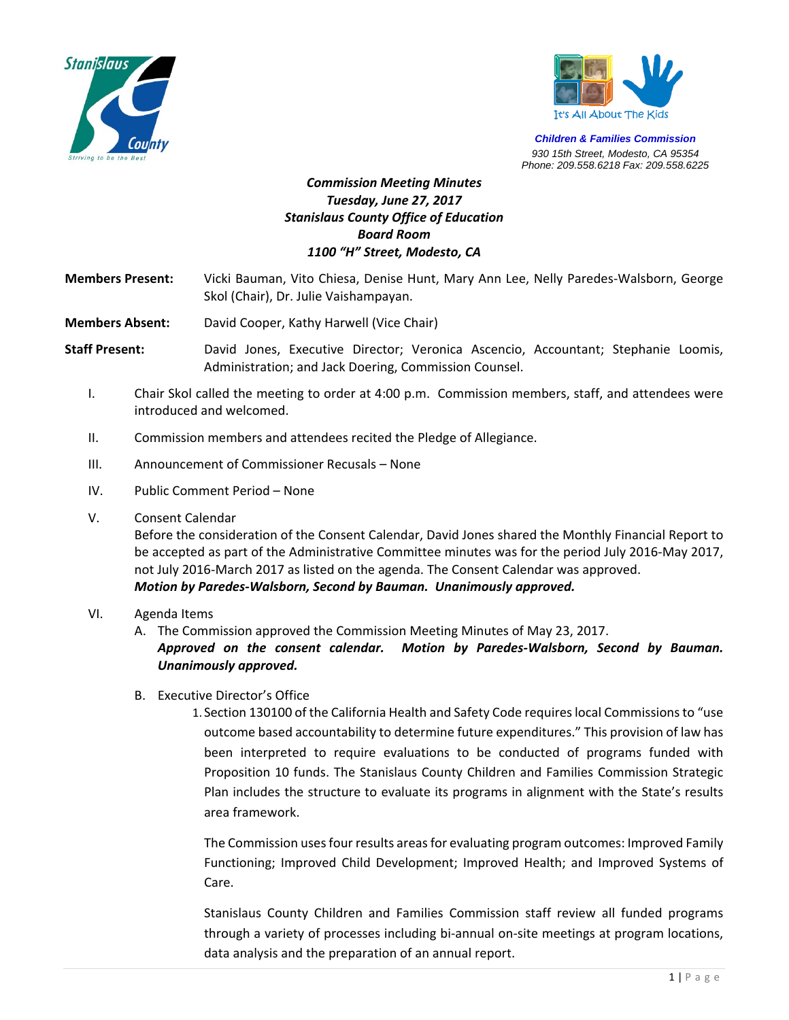



*Children & Families Commission 930 15th Street, Modesto, CA 95354 Phone: 209.558.6218 Fax: 209.558.6225*

# *Commission Meeting Minutes Tuesday, June 27, 2017 Stanislaus County Office of Education Board Room 1100 "H" Street, Modesto, CA*

**Members Present:**  Vicki Bauman, Vito Chiesa, Denise Hunt, Mary Ann Lee, Nelly Paredes‐Walsborn, George Skol (Chair), Dr. Julie Vaishampayan.

**Members Absent:** David Cooper, Kathy Harwell (Vice Chair)

**Staff Present:** David Jones, Executive Director; Veronica Ascencio, Accountant; Stephanie Loomis, Administration; and Jack Doering, Commission Counsel.

- I. Chair Skol called the meeting to order at 4:00 p.m. Commission members, staff, and attendees were introduced and welcomed.
- II. Commission members and attendees recited the Pledge of Allegiance.
- III. Announcement of Commissioner Recusals None
- IV. Public Comment Period None
- V. Consent Calendar

Before the consideration of the Consent Calendar, David Jones shared the Monthly Financial Report to be accepted as part of the Administrative Committee minutes was for the period July 2016‐May 2017, not July 2016‐March 2017 as listed on the agenda. The Consent Calendar was approved. *Motion by Paredes‐Walsborn, Second by Bauman. Unanimously approved.* 

### VI. Agenda Items

A. The Commission approved the Commission Meeting Minutes of May 23, 2017.

*Approved on the consent calendar. Motion by Paredes‐Walsborn, Second by Bauman. Unanimously approved.*

B. Executive Director's Office

1. Section 130100 of the California Health and Safety Code requires local Commissions to "use outcome based accountability to determine future expenditures." This provision of law has been interpreted to require evaluations to be conducted of programs funded with Proposition 10 funds. The Stanislaus County Children and Families Commission Strategic Plan includes the structure to evaluate its programs in alignment with the State's results area framework.

The Commission uses four results areas for evaluating program outcomes: Improved Family Functioning; Improved Child Development; Improved Health; and Improved Systems of Care.

Stanislaus County Children and Families Commission staff review all funded programs through a variety of processes including bi‐annual on‐site meetings at program locations, data analysis and the preparation of an annual report.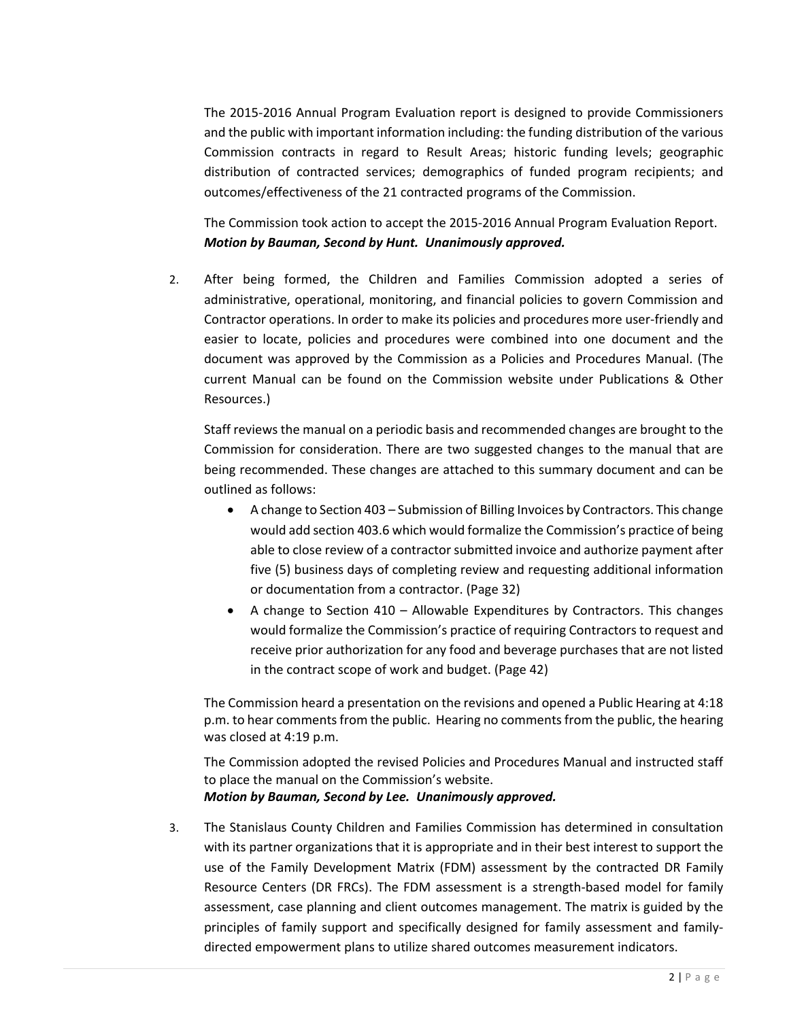The 2015‐2016 Annual Program Evaluation report is designed to provide Commissioners and the public with important information including: the funding distribution of the various Commission contracts in regard to Result Areas; historic funding levels; geographic distribution of contracted services; demographics of funded program recipients; and outcomes/effectiveness of the 21 contracted programs of the Commission.

The Commission took action to accept the 2015‐2016 Annual Program Evaluation Report. *Motion by Bauman, Second by Hunt. Unanimously approved.*

2. After being formed, the Children and Families Commission adopted a series of administrative, operational, monitoring, and financial policies to govern Commission and Contractor operations. In order to make its policies and procedures more user‐friendly and easier to locate, policies and procedures were combined into one document and the document was approved by the Commission as a Policies and Procedures Manual. (The current Manual can be found on the Commission website under Publications & Other Resources.)

Staff reviews the manual on a periodic basis and recommended changes are brought to the Commission for consideration. There are two suggested changes to the manual that are being recommended. These changes are attached to this summary document and can be outlined as follows:

- A change to Section 403 Submission of Billing Invoices by Contractors. This change would add section 403.6 which would formalize the Commission's practice of being able to close review of a contractor submitted invoice and authorize payment after five (5) business days of completing review and requesting additional information or documentation from a contractor. (Page 32)
- $\bullet$  A change to Section 410 Allowable Expenditures by Contractors. This changes would formalize the Commission's practice of requiring Contractors to request and receive prior authorization for any food and beverage purchases that are not listed in the contract scope of work and budget. (Page 42)

The Commission heard a presentation on the revisions and opened a Public Hearing at 4:18 p.m. to hear comments from the public. Hearing no comments from the public, the hearing was closed at 4:19 p.m.

The Commission adopted the revised Policies and Procedures Manual and instructed staff to place the manual on the Commission's website. *Motion by Bauman, Second by Lee. Unanimously approved.* 

3. The Stanislaus County Children and Families Commission has determined in consultation with its partner organizations that it is appropriate and in their best interest to support the use of the Family Development Matrix (FDM) assessment by the contracted DR Family Resource Centers (DR FRCs). The FDM assessment is a strength-based model for family assessment, case planning and client outcomes management. The matrix is guided by the principles of family support and specifically designed for family assessment and familydirected empowerment plans to utilize shared outcomes measurement indicators.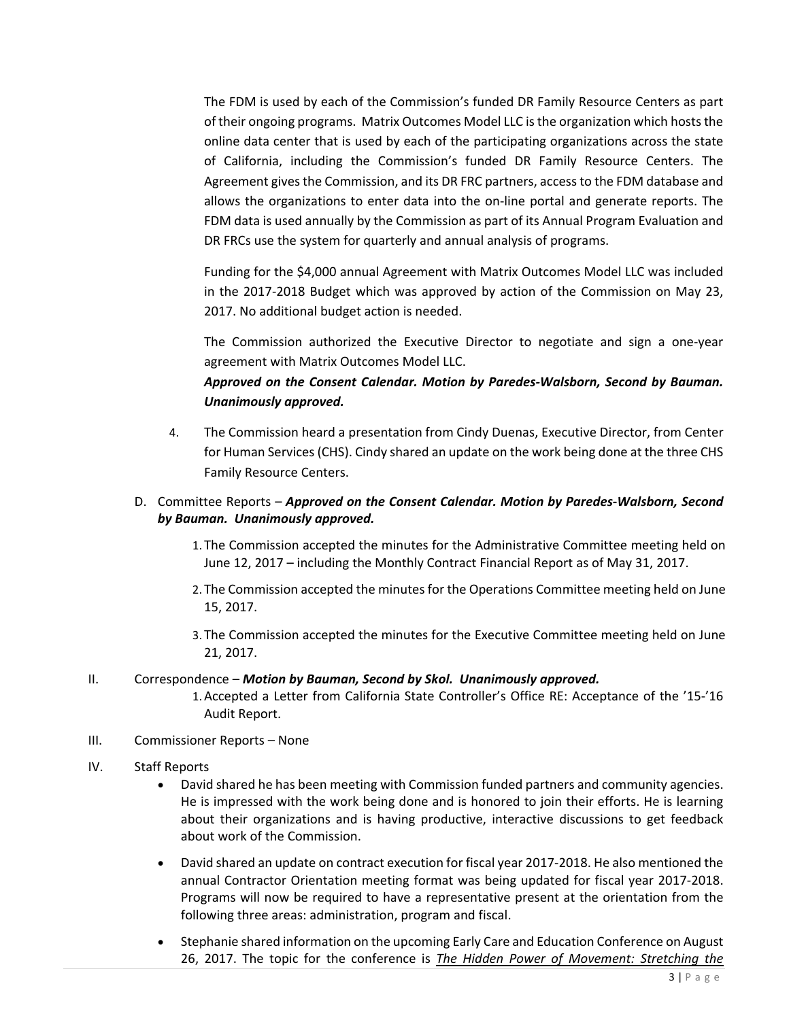The FDM is used by each of the Commission's funded DR Family Resource Centers as part of their ongoing programs. Matrix Outcomes Model LLC is the organization which hosts the online data center that is used by each of the participating organizations across the state of California, including the Commission's funded DR Family Resource Centers. The Agreement gives the Commission, and its DR FRC partners, access to the FDM database and allows the organizations to enter data into the on-line portal and generate reports. The FDM data is used annually by the Commission as part of its Annual Program Evaluation and DR FRCs use the system for quarterly and annual analysis of programs.

Funding for the \$4,000 annual Agreement with Matrix Outcomes Model LLC was included in the 2017-2018 Budget which was approved by action of the Commission on May 23, 2017. No additional budget action is needed.

The Commission authorized the Executive Director to negotiate and sign a one-year agreement with Matrix Outcomes Model LLC.

# *Approved on the Consent Calendar. Motion by Paredes‐Walsborn, Second by Bauman. Unanimously approved.*

4. The Commission heard a presentation from Cindy Duenas, Executive Director, from Center for Human Services (CHS). Cindy shared an update on the work being done at the three CHS Family Resource Centers.

### D. Committee Reports – *Approved on the Consent Calendar. Motion by Paredes‐Walsborn, Second by Bauman. Unanimously approved.*

- 1. The Commission accepted the minutes for the Administrative Committee meeting held on June 12, 2017 – including the Monthly Contract Financial Report as of May 31, 2017.
- 2. The Commission accepted the minutes for the Operations Committee meeting held on June 15, 2017.
- 3. The Commission accepted the minutes for the Executive Committee meeting held on June 21, 2017.

### II. Correspondence – *Motion by Bauman, Second by Skol. Unanimously approved.*

- 1.Accepted a Letter from California State Controller's Office RE: Acceptance of the '15‐'16 Audit Report.
- III. Commissioner Reports None

## IV. Staff Reports

- David shared he has been meeting with Commission funded partners and community agencies. He is impressed with the work being done and is honored to join their efforts. He is learning about their organizations and is having productive, interactive discussions to get feedback about work of the Commission.
- David shared an update on contract execution for fiscal year 2017‐2018. He also mentioned the annual Contractor Orientation meeting format was being updated for fiscal year 2017‐2018. Programs will now be required to have a representative present at the orientation from the following three areas: administration, program and fiscal.
- Stephanie shared information on the upcoming Early Care and Education Conference on August 26, 2017. The topic for the conference is *The Hidden Power of Movement: Stretching the*